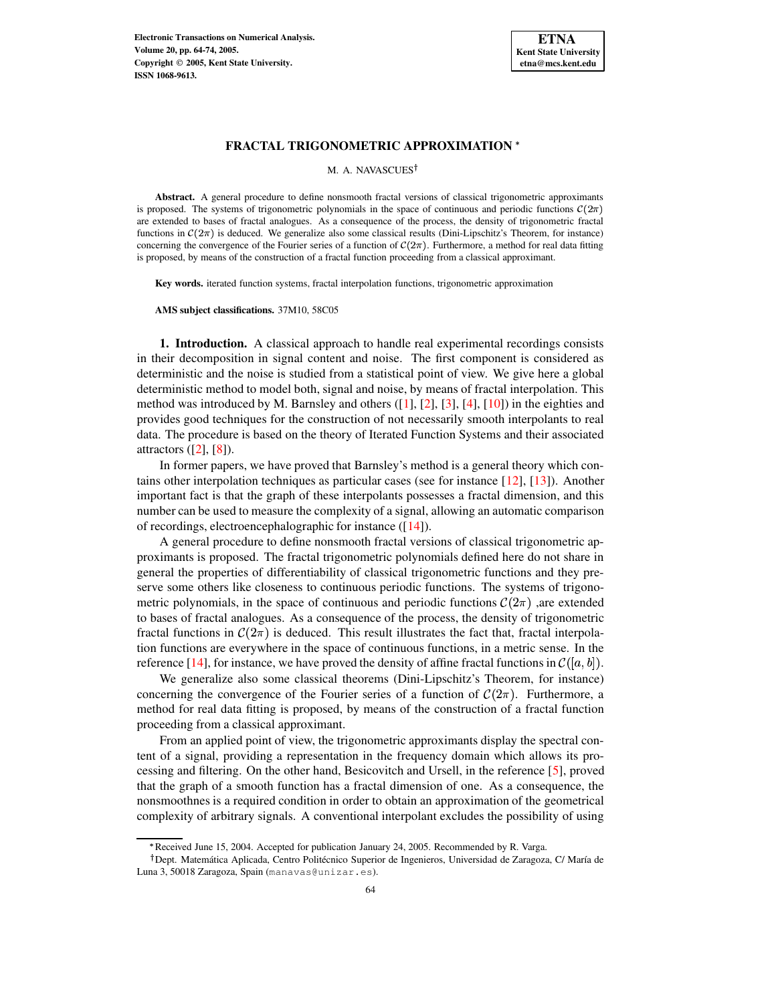

M. A. NAVASCUES<sup>†</sup>

**Abstract.** A general procedure to define nonsmooth fractal versions of classical trigonometric approximants is proposed. The systems of trigonometric polynomials in the space of continuous and periodic functions  $\mathcal{C}(2\pi)$ are extended to bases of fractal analogues. As a consequence of the process, the density of trigonometric fractal functions in  $C(2\pi)$  is deduced. We generalize also some classical results (Dini-Lipschitz's Theorem, for instance) concerning the convergence of the Fourier series of a function of  $C(2\pi)$ . Furthermore, a method for real data fitting is proposed, by means of the construction of a fractal function proceeding from a classical approximant.

**Key words.** iterated function systems, fractal interpolation functions, trigonometric approximation

**AMS subject classifications.** 37M10, 58C05

**1. Introduction.** A classical approach to handle real experimental recordings consists in their decomposition in signal content and noise. The first component is considered as deterministic and the noise is studied from a statistical point of view. We give here a global deterministic method to model both, signal and noise, by means of fractal interpolation. This method was introduced by M. Barnsley and others  $(1, 2, 3, 4, 1, 10)$  in the eighties and provides good techniques for the construction of not necessarily smooth interpolants to real data. The procedure is based on the theory of Iterated Function Systems and their associated attractors  $([2], [8])$  $([2], [8])$  $([2], [8])$  $([2], [8])$  $([2], [8])$ .

In former papers, we have proved that Barnsley's method is a general theory which contains other interpolation techniques as particular cases (see for instance [\[12\]](#page-9-6), [\[13\]](#page-9-7)). Another important fact is that the graph of these interpolants possesses a fractal dimension, and this number can be used to measure the complexity of a signal, allowing an automatic comparison of recordings, electroencephalographic for instance ([\[14\]](#page-10-0)).

A general procedure to define nonsmooth fractal versions of classical trigonometric approximants is proposed. The fractal trigonometric polynomials defined here do not share in general the properties of differentiability of classical trigonometric functions and they preserve some others like closeness to continuous periodic functions. The systems of trigonometric polynomials, in the space of continuous and periodic functions  $\mathcal{C}(2\pi)$ , are extended to bases of fractal analogues. As a consequence of the process, the density of trigonometric fractal functions in  $\mathcal{C}(2\pi)$  is deduced. This result illustrates the fact that, fractal interpolation functions are everywhere in the space of continuous functions, in a metric sense. In the reference [\[14\]](#page-10-0), for instance, we have proved the density of affine fractal functions in  $\mathcal{C}([a, b])$ .

We generalize also some classical theorems (Dini-Lipschitz's Theorem, for instance) concerning the convergence of the Fourier series of a function of  $\mathcal{C}(2\pi)$ . Furthermore, a method for real data fitting is proposed, by means of the construction of a fractal function proceeding from a classical approximant.

From an applied point of view, the trigonometric approximants display the spectral content of a signal, providing a representation in the frequency domain which allows its processing and filtering. On the other hand, Besicovitch and Ursell, in the reference [\[5\]](#page-9-8), proved that the graph of a smooth function has a fractal dimension of one. As a consequence, the nonsmoothnes is a required condition in order to obtain an approximation of the geometrical complexity of arbitrary signals. A conventional interpolant excludes the possibility of using

<sup>\*</sup> Received June 15, 2004. Accepted for publication January 24, 2005. Recommended by R. Varga.

<sup>&</sup>lt;sup>†</sup> Dept. Matemática Aplicada, Centro Politécnico Superior de Ingenieros, Universidad de Zaragoza, C/ María de Luna 3, 50018 Zaragoza, Spain (manavas@unizar.es).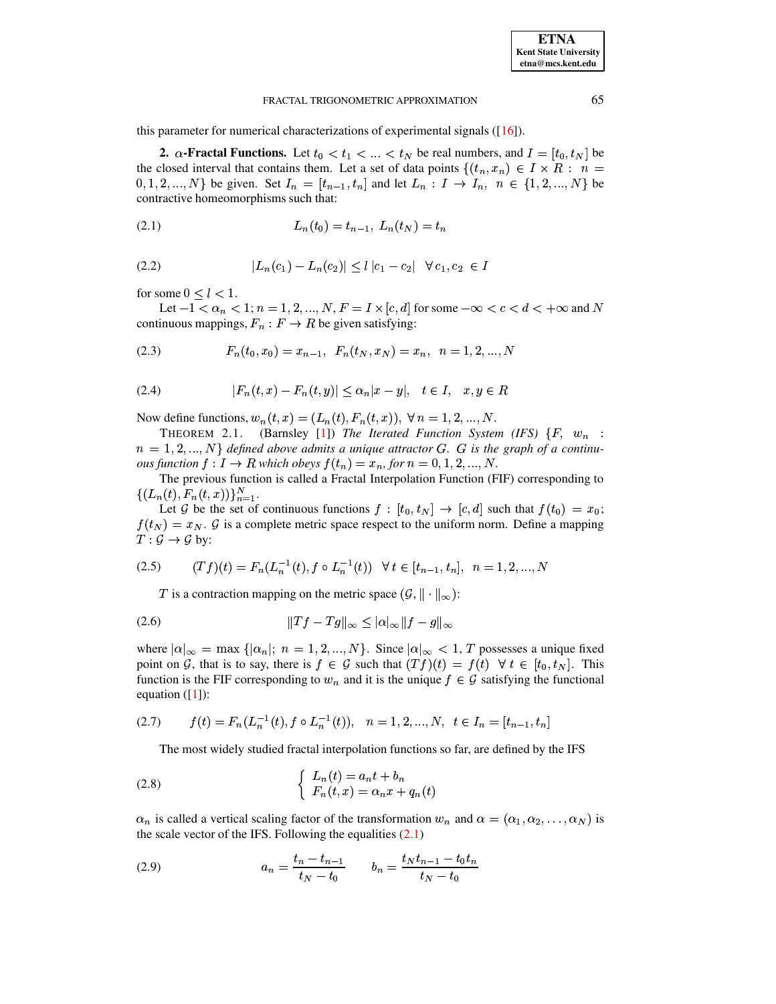this parameter for numerical characterizations of experimental signals  $([16])$ .

2.  $\alpha$ -Fractal Functions. Let  $t_0 < t_1 < ... < t_N$  be real numbers, and  $I = [t_0, t_N]$  be the closed interval that contains them. Let a set of data points  $\{(t_n, x_n) \in I \times R : n =$  $[0, 1, 2, ..., N]$  be given. Set  $I_n = [t_{n-1}, t_n]$  and let  $L_n : I \to I_n$ ,  $n \in \{1, 2, ..., N\}$  be contractive homeomorphisms such that:

<span id="page-1-0"></span>
$$
(2.1) \t\t\t L_n(t_0) = t_{n-1}, L_n(t_N) = t_n
$$

(2.2) 
$$
|L_n(c_1) - L_n(c_2)| \le l |c_1 - c_2| \quad \forall \ c_1, c_2 \in I
$$

for some  $0 \leq l < 1$ .

Let  $-1 < \alpha_n < 1$ ;  $n = 1, 2, ..., N$ ,  $F = I \times [c, d]$  for some  $-\infty < c < d < +\infty$  and N continuous mappings,  $F_n : F \to R$  be given satisfying:

<span id="page-1-1"></span>(2.3) 
$$
F_n(t_0, x_0) = x_{n-1}, \ F_n(t_N, x_N) = x_n, \ n = 1, 2, ..., N
$$

(2.4) 
$$
|F_n(t, x) - F_n(t, y)| \le \alpha_n |x - y|, \quad t \in I, \quad x, y \in R
$$

Now define functions,  $w_n(t, x) = (L_n(t), F_n(t, x)), \forall n = 1, 2, ..., N$ .

(Barnsley [1]) The Iterated Function System (IFS)  $\{F, w_n :$ THEOREM 2.1.  $n = 1, 2, ..., N$  defined above admits a unique attractor G. G is the graph of a continuous function  $f: I \to R$  which obeys  $f(t_n) = x_n$ , for  $n = 0, 1, 2, ..., N$ .

The previous function is called a Fractal Interpolation Function (FIF) corresponding to  $\{(L_n(t), F_n(t,x))\}_{n=1}^N$ .

Let G be the set of continuous functions  $f : [t_0, t_N] \to [c, d]$  such that  $f(t_0) = x_0$ ;  $f(t_N) = x_N$ . G is a complete metric space respect to the uniform norm. Define a mapping  $T: \mathcal{G} \to \mathcal{G}$  by:

$$
(2.5) \qquad (Tf)(t) = F_n(L_n^{-1}(t), f \circ L_n^{-1}(t)) \quad \forall \ t \in [t_{n-1}, t_n], \ n = 1, 2, ..., N
$$

T is a contraction mapping on the metric space  $(\mathcal{G}, \|\cdot\|_{\infty})$ :

where  $|\alpha|_{\infty} = \max \{|\alpha_n|; n = 1, 2, ..., N\}$ . Since  $|\alpha|_{\infty} < 1$ , T possesses a unique fixed point on G, that is to say, there is  $f \in \mathcal{G}$  such that  $(Tf)(t) = f(t) \ \forall t \in [t_0, t_N]$ . This function is the FIF corresponding to  $w_n$  and it is the unique  $f \in \mathcal{G}$  satisfying the functional equation  $([1])$ :

<span id="page-1-4"></span>
$$
(2.7) \t f(t) = F_n(L_n^{-1}(t), f \circ L_n^{-1}(t)), \t n = 1, 2, ..., N, \t t \in I_n = [t_{n-1}, t_n]
$$

<span id="page-1-2"></span>The most widely studied fractal interpolation functions so far, are defined by the IFS

(2.8) 
$$
\begin{cases} L_n(t) = a_n t + b_n \\ F_n(t, x) = \alpha_n x + q_n(t) \end{cases}
$$

 $\alpha_n$  is called a vertical scaling factor of the transformation  $w_n$  and  $\alpha = (\alpha_1, \alpha_2, \dots, \alpha_N)$  is the scale vector of the IFS. Following the equalities  $(2.1)$ 

<span id="page-1-3"></span>(2.9) 
$$
a_n = \frac{t_n - t_{n-1}}{t_N - t_0} \qquad b_n = \frac{t_N t_{n-1} - t_0 t_n}{t_N - t_0}
$$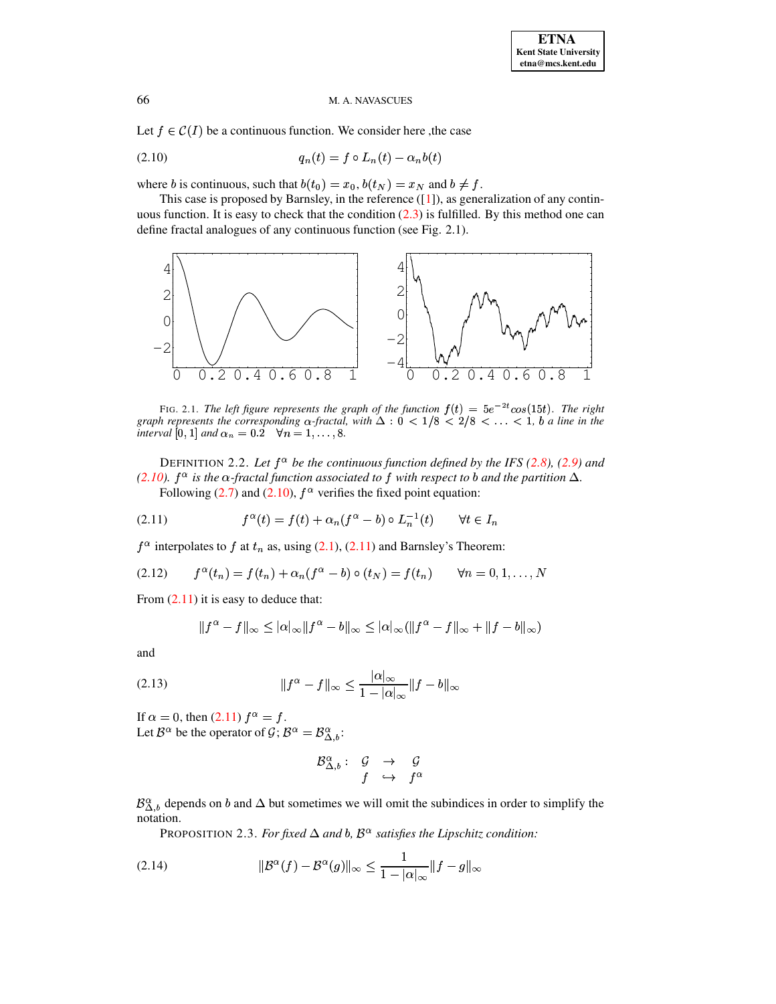Let  $f \in \mathcal{C}(I)$  be a continuous function. We consider here, the case

<span id="page-2-0"></span>
$$
(2.10) \t\t q_n(t) = f \circ L_n(t) - \alpha_n b(t)
$$

where b is continuous, such that  $b(t_0) = x_0$ ,  $b(t_N) = x_N$  and  $b \neq f$ .

This case is proposed by Barnsley, in the reference  $([1])$ , as generalization of any continuous function. It is easy to check that the condition  $(2.3)$  is fulfilled. By this method one can define fractal analogues of any continuous function (see Fig. 2.1).



FIG. 2.1. The left figure represents the graph of the function  $f(t) = 5e^{-2t} \cos(15t)$ . The right graph represents the corresponding  $\alpha$ -fractal, with  $\Delta$  :  $0 < 1/8 < 2/8 < \ldots < 1$ , b a line in the interval [0, 1] and  $\alpha_n = 0.2$   $\forall n = 1, \dots, 8$ .

DEFINITION 2.2. Let  $f^{\alpha}$  be the continuous function defined by the IFS (2.8), (2.9) and (2.10).  $f^{\alpha}$  is the  $\alpha$ -fractal function associated to f with respect to b and the partition  $\Delta$ . Following (2.7) and (2.10),  $f^{\alpha}$  verifies the fixed point equation:

<span id="page-2-1"></span>(2.11) 
$$
f^{\alpha}(t) = f(t) + \alpha_n (f^{\alpha} - b) \circ L_n^{-1}(t) \qquad \forall t \in I_n
$$

 $f^{\alpha}$  interpolates to f at  $t_n$  as, using (2.1), (2.11) and Barnsley's Theorem:

<span id="page-2-3"></span>(2.12) 
$$
f^{\alpha}(t_n) = f(t_n) + \alpha_n (f^{\alpha} - b) \circ (t_N) = f(t_n) \quad \forall n = 0, 1, ..., N
$$

From  $(2.11)$  it is easy to deduce that:

$$
||f^{\alpha}-f||_{\infty} \leq |\alpha|_{\infty} ||f^{\alpha}-b||_{\infty} \leq |\alpha|_{\infty} (||f^{\alpha}-f||_{\infty} + ||f-b||_{\infty})
$$

and

<span id="page-2-2"></span>(2.13) 
$$
||f^{\alpha} - f||_{\infty} \le \frac{|\alpha|_{\infty}}{1 - |\alpha|_{\infty}} ||f - b||_{\infty}
$$

If  $\alpha = 0$ , then  $(2.11)$   $f^{\alpha} = f$ . Let  $\mathcal{B}^{\alpha}$  be the operator of  $\mathcal{G}$ ;  $\mathcal{B}^{\alpha} = \mathcal{B}^{\alpha}_{\Delta,b}$ :

$$
\begin{array}{cccc} \mathcal{B}^{\alpha}_{\Delta,b} : & \mathcal{G} & \rightarrow & \mathcal{G} \\ & f & \hookrightarrow & f^{\alpha} \end{array}
$$

 $\mathcal{B}_{\Delta,b}^{\alpha}$  depends on b and  $\Delta$  but sometimes we will omit the subindices in order to simplify the notation.

PROPOSITION 2.3. For fixed  $\Delta$  and b,  $\mathcal{B}^{\alpha}$  satisfies the Lipschitz condition:

$$
(2.14) \t\t\t ||\mathcal{B}^{\alpha}(f) - \mathcal{B}^{\alpha}(g)||_{\infty} \le \frac{1}{1 - |\alpha|_{\infty}} ||f - g||_{\infty}
$$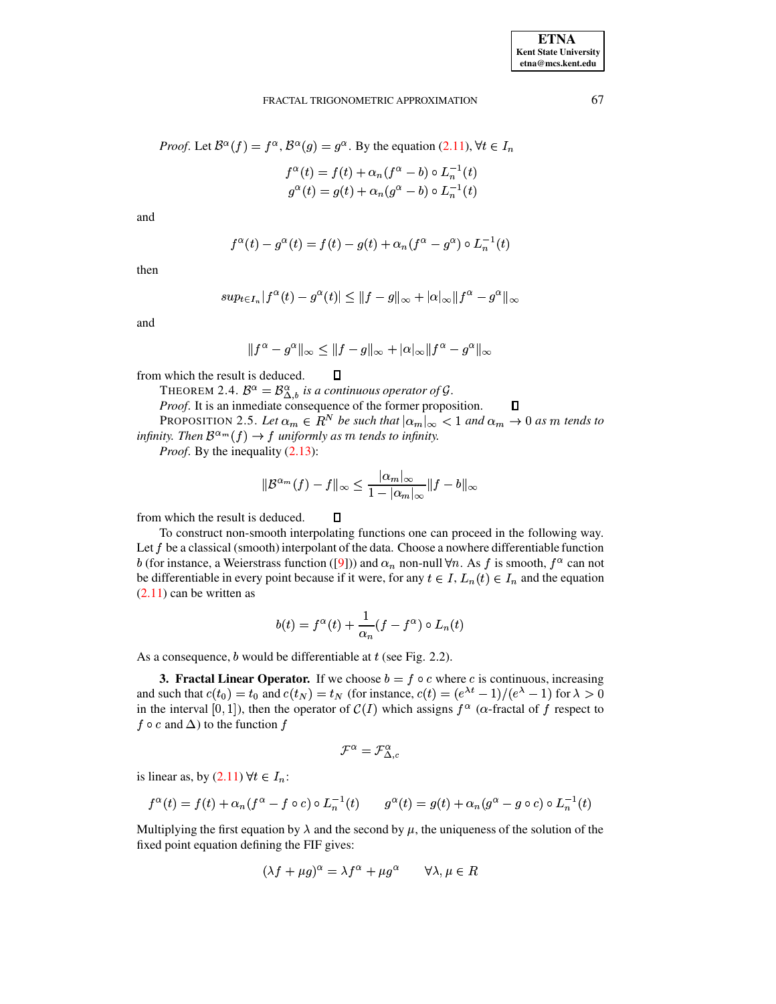$\Box$ 

# FRACTAL TRIGONOMETRIC APPROXIMATION

$$
f^{\alpha}(t) = f(t) + \alpha_n (f^{\alpha} - b) \circ L_n^{-1}(t)
$$
  

$$
g^{\alpha}(t) = g(t) + \alpha_n (g^{\alpha} - b) \circ L_n^{-1}(t)
$$

and

$$
f^{\alpha}(t) - g^{\alpha}(t) = f(t) - g(t) + \alpha_n (f^{\alpha} - g^{\alpha}) \circ L_n^{-1}(t)
$$

then

$$
sup_{t\in I_n}|f^{\alpha}(t)-g^{\alpha}(t)|\leq ||f-g||_{\infty}+|\alpha|_{\infty}||f^{\alpha}-g^{\alpha}||_{\infty}
$$

and

$$
||f^{\alpha}-g^{\alpha}||_{\infty}\leq ||f-g||_{\infty}+|\alpha|_{\infty}||f^{\alpha}-g^{\alpha}||_{\infty}
$$

from which the result is deduced.

THEOREM 2.4.  $B^{\alpha} = B^{\alpha}_{\Delta, b}$  is a continuous operator of G.

*Proof.* It is an inmediate consequence of the former proposition.

 $\Box$ 

 $\Box$ 

PROPOSITION 2.5. Let  $\alpha_m \in \mathbb{R}^N$  be such that  $|\alpha_m|_{\infty} < 1$  and  $\alpha_m \to 0$  as m tends to infinity. Then  $\mathcal{B}^{\alpha_m}(f) \to f$  uniformly as m tends to infinity.

*Proof.* By the inequality (2.13):

$$
\|B^{\alpha_m}(f) - f\|_{\infty} \le \frac{|\alpha_m|_{\infty}}{1 - |\alpha_m|_{\infty}} \|f - b\|_{\infty}
$$

from which the result is deduced.

To construct non-smooth interpolating functions one can proceed in the following way. Let  $f$  be a classical (smooth) interpolant of the data. Choose a nowhere differentiable function b (for instance, a Weierstrass function ([9])) and  $\alpha_n$  non-null  $\forall n$ . As f is smooth,  $f^{\alpha}$  can not be differentiable in every point because if it were, for any  $t \in I$ ,  $L_n(t) \in I_n$  and the equation  $(2.11)$  can be written as

$$
b(t) = f^{\alpha}(t) + \frac{1}{\alpha_n}(f - f^{\alpha}) \circ L_n(t)
$$

As a consequence,  $b$  would be differentiable at  $t$  (see Fig. 2.2).

**3. Fractal Linear Operator.** If we choose  $b = f \circ c$  where c is continuous, increasing and such that  $c(t_0) = t_0$  and  $c(t_N) = t_N$  (for instance,  $c(t) = (e^{\lambda t} - 1)/(e^{\lambda} - 1)$  for  $\lambda > 0$ in the interval [0, 1]), then the operator of  $C(I)$  which assigns  $f^{\alpha}$  ( $\alpha$ -fractal of f respect to  $f \circ c$  and  $\Delta$ ) to the function  $f$ 

$$
\mathcal{F}^\alpha=\mathcal{F}^\alpha_{\Delta,c}
$$

is linear as, by (2.11)  $\forall t \in I_n$ :

$$
f^{\alpha}(t) = f(t) + \alpha_n (f^{\alpha} - f \circ c) \circ L_n^{-1}(t) \qquad g^{\alpha}(t) = g(t) + \alpha_n (g^{\alpha} - g \circ c) \circ L_n^{-1}(t)
$$

Multiplying the first equation by  $\lambda$  and the second by  $\mu$ , the uniqueness of the solution of the fixed point equation defining the FIF gives:

$$
(\lambda f + \mu g)^{\alpha} = \lambda f^{\alpha} + \mu g^{\alpha} \qquad \forall \lambda, \mu \in R
$$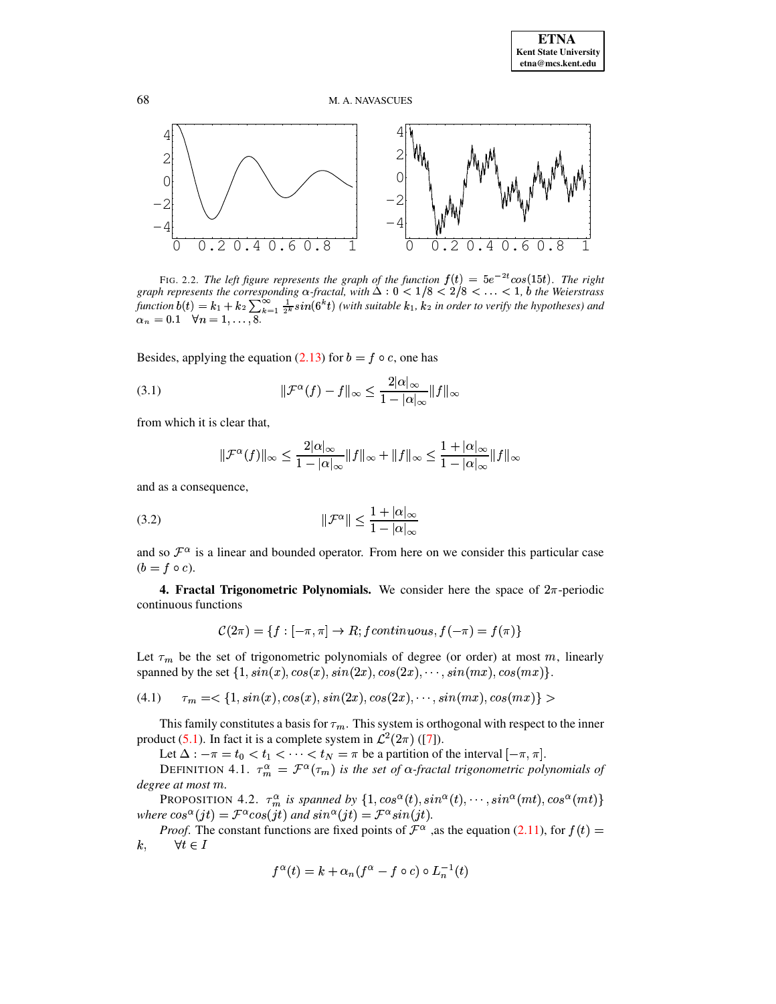

FIG. 2.2. The left figure represents the graph of the function  $f(t) = 5e^{-2t} \cos(15t)$ . The right graph represents the corresponding  $\alpha$ -fractal, with  $\Delta$  :  $0 < 1/8 < 2/8 < \ldots < 1$ ,  $\alpha$  the Weierstrass function  $b(t) = k_1 + k_2 \sum_{k=1}^{\infty} \frac{1}{2^k} sin(6^k t)$  (with suitable  $k_1$ ,  $k_2$  in order to verify the hypotheses) and  $\alpha_n = 0.1$   $\forall n = 1, ..., 8$ .

Besides, applying the equation (2.13) for  $b = f \circ c$ , one has

(3.1) 
$$
\|\mathcal{F}^{\alpha}(f) - f\|_{\infty} \leq \frac{2|\alpha|_{\infty}}{1 - |\alpha|_{\infty}} \|f\|_{\infty}
$$

from which it is clear that,

<span id="page-4-0"></span>
$$
\|\mathcal{F}^{\alpha}(f)\|_{\infty} \le \frac{2|\alpha|_{\infty}}{1-|\alpha|_{\infty}} \|f\|_{\infty} + \|f\|_{\infty} \le \frac{1+|\alpha|_{\infty}}{1-|\alpha|_{\infty}} \|f\|_{\infty}
$$

and as a consequence,

$$
(3.2) \t\t\t\t\|\mathcal{F}^{\alpha}\| \le \frac{1 + |\alpha|_{\infty}}{1 - |\alpha|_{\infty}}
$$

and so  $\mathcal{F}^{\alpha}$  is a linear and bounded operator. From here on we consider this particular case  $(b = f \circ c).$ 

**4. Fractal Trigonometric Polynomials.** We consider here the space of  $2\pi$ -periodic continuous functions

$$
\mathcal{C}(2\pi) = \{ f : [-\pi, \pi] \to R; fcontinuous, f(-\pi) = f(\pi) \}
$$

Let  $\tau_m$  be the set of trigonometric polynomials of degree (or order) at most m, linearly spanned by the set  $\{1, sin(x), cos(x), sin(2x), cos(2x), \cdots, sin(mx), cos(mx)\}.$ 

$$
(4.1) \quad \tau_m = \langle 1, \sin(x), \cos(x), \sin(2x), \cos(2x), \cdots, \sin(mx), \cos(mx) \rangle >
$$

This family constitutes a basis for  $\tau_m$ . This system is orthogonal with respect to the inner product (5.1). In fact it is a complete system in  $\mathcal{L}^2(2\pi)$  ([7]).

Let  $\Delta: -\pi = t_0 < t_1 < \cdots < t_N = \pi$  be a partition of the interval  $[-\pi, \pi]$ .<br>DEFINITION 4.1.  $\tau_m^{\alpha} = \mathcal{F}^{\alpha}(\tau_m)$  is the set of  $\alpha$ -fractal trigonometric polynomials of degree at most m.

PROPOSITION 4.2.  $\tau_m^{\alpha}$  is spanned by  $\{1, \cos^{\alpha}(t), \sin^{\alpha}(t), \cdots, \sin^{\alpha}(mt), \cos^{\alpha}(mt)\}$ <br>where  $\cos^{\alpha}(jt) = \mathcal{F}^{\alpha}\cos(jt)$  and  $\sin^{\alpha}(jt) = \mathcal{F}^{\alpha}\sin(jt)$ .

*Proof.* The constant functions are fixed points of  $\mathcal{F}^{\alpha}$ , as the equation (2.11), for  $f(t)$  =  $\forall t \in I$  $k,$ 

$$
f^{\alpha}(t) = k + \alpha_n (f^{\alpha} - f \circ c) \circ L_n^{-1}(t)
$$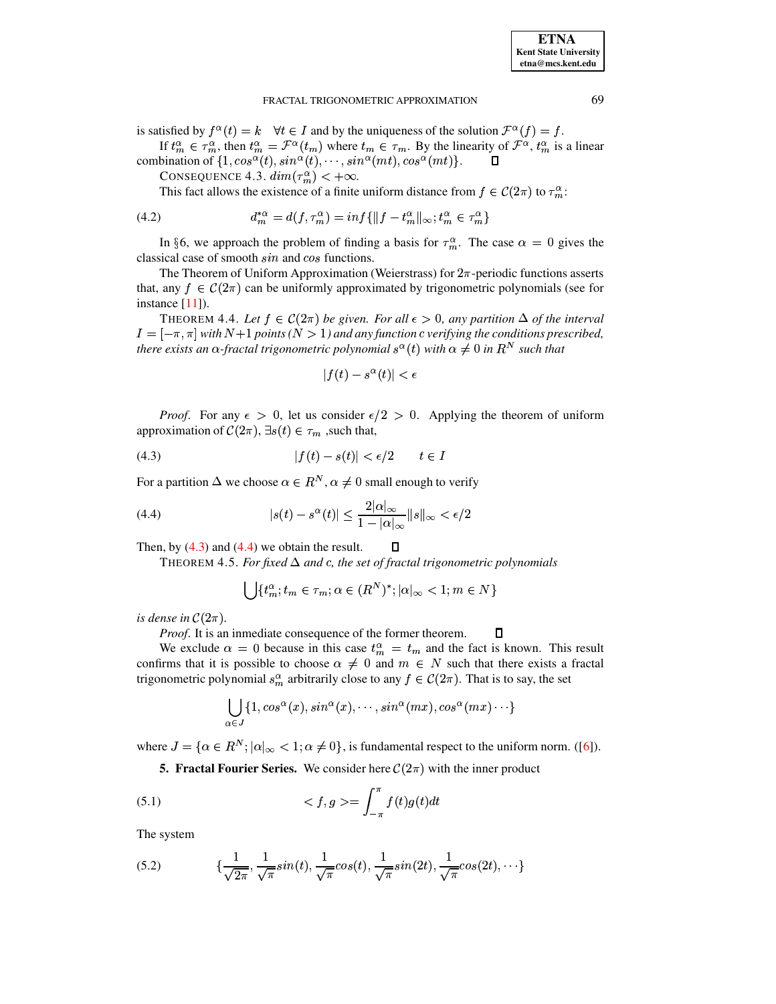is satisfied by  $f^{\alpha}(t) = k \quad \forall t \in I$  and by the uniqueness of the solution  $\mathcal{F}^{\alpha}(f) = f$ . If  $t_m^{\alpha} \in \tau_m^{\alpha}$ , then  $t_m^{\alpha} = \mathcal{F}^{\alpha}(t_m)$  where  $t_m \in \tau_m$ . By the linearity of  $\mathcal{F}^{\alpha}$ ,  $t_m^{\alpha}$  is a linear

combination of  $\{1, \cos^\alpha(t), \sin^\alpha(t), \cdots, \sin^\alpha(mt), \cos^\alpha(mt)\}.$  $\Box$ 

CONSEQUENCE 4.3.  $dim(\tau_m^{\alpha}) < +\infty$ .

This fact allows the existence of a finite uniform distance from  $f \in C(2\pi)$  to  $\tau_m^{\alpha}$ .

(4.2) 
$$
d_m^{*\alpha} = d(f, \tau_m^{\alpha}) = inf\{\|f - t_m^{\alpha}\|_{\infty}; t_m^{\alpha} \in \tau_m^{\alpha}\}\
$$

In §6, we approach the problem of finding a basis for  $\tau_m^{\alpha}$ . The case  $\alpha = 0$  gives the classical case of smooth sin and cos functions.

The Theorem of Uniform Approximation (Weierstrass) for  $2\pi$ -periodic functions asserts that, any  $f \in C(2\pi)$  can be uniformly approximated by trigonometric polynomials (see for instance [11]).

THEOREM 4.4. Let  $f \in C(2\pi)$  be given. For all  $\epsilon > 0$ , any partition  $\Delta$  of the interval  $I = [-\pi, \pi]$  with  $N+1$  points ( $N > 1$ ) and any function c verifying the conditions prescribed, there exists an  $\alpha$ -fractal trigonometric polynomial  $s^{\alpha}(t)$  with  $\alpha \neq 0$  in  $R^N$  such that

$$
|f(t) - s^{\alpha}(t)| < \epsilon
$$

*Proof.* For any  $\epsilon > 0$ , let us consider  $\epsilon/2 > 0$ . Applying the theorem of uniform approximation of  $\mathcal{C}(2\pi)$ ,  $\exists s(t) \in \tau_m$ , such that,

<span id="page-5-1"></span>
$$
(4.3) \t\t |f(t) - s(t)| < \epsilon/2 \t t \in I
$$

For a partition  $\Delta$  we choose  $\alpha \in R^N$ ,  $\alpha \neq 0$  small enough to verify

<span id="page-5-2"></span>(4.4) 
$$
|s(t) - s^{\alpha}(t)| \leq \frac{2|\alpha|_{\infty}}{1 - |\alpha|_{\infty}} ||s||_{\infty} < \epsilon/2
$$

Then, by  $(4.3)$  and  $(4.4)$  we obtain the result. 0

THEOREM 4.5. For fixed  $\Delta$  and c, the set of fractal trigonometric polynomials

$$
\bigcup \{t_m^{\alpha}; t_m \in \tau_m; \alpha \in (R^N)^*; |\alpha|_{\infty} < 1; m \in N\}
$$

is dense in  $\mathcal{C}(2\pi)$ .

Proof. It is an inmediate consequence of the former theorem.  $\Box$ 

We exclude  $\alpha = 0$  because in this case  $t_m^{\alpha} = t_m$  and the fact is known. This result confirms that it is possible to choose  $\alpha \neq 0$  and  $m \in N$  such that there exists a fractal trigonometric polynomial  $s_m^{\alpha}$  arbitrarily close to any  $f \in C(2\pi)$ . That is to say, the set

$$
\bigcup_{\alpha \in J} \{1, \cos^{\alpha}(x), \sin^{\alpha}(x), \cdots, \sin^{\alpha}(mx), \cos^{\alpha}(mx) \cdots \}
$$

where  $J = \{ \alpha \in \mathbb{R}^N : |\alpha|_{\infty} < 1; \alpha \neq 0 \}$ , is fundamental respect to the uniform norm. ([6]).

<span id="page-5-0"></span>**5. Fractal Fourier Series.** We consider here  $C(2\pi)$  with the inner product

(5.1) 
$$
\langle f, g \rangle = \int_{-\pi}^{\pi} f(t)g(t)dt
$$

The system

(5.2) 
$$
\{\frac{1}{\sqrt{2\pi}}, \frac{1}{\sqrt{\pi}}\sin(t), \frac{1}{\sqrt{\pi}}\cos(t), \frac{1}{\sqrt{\pi}}\sin(2t), \frac{1}{\sqrt{\pi}}\cos(2t), \cdots\}
$$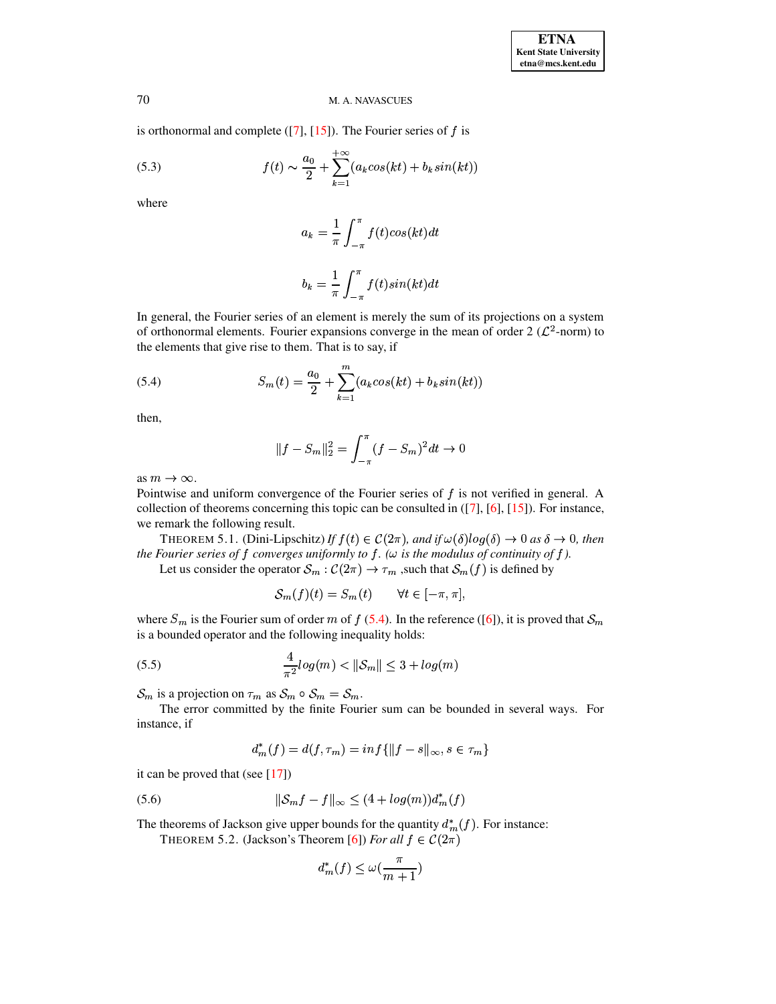is orthonormal and complete  $([7], [15])$  $([7], [15])$  $([7], [15])$  $([7], [15])$  $([7], [15])$ . The Fourier series of  $f$  is

(5.3) 
$$
f(t) \sim \frac{a_0}{2} + \sum_{k=1}^{+\infty} (a_k cos(kt) + b_k sin(kt))
$$

where

$$
a_k = \frac{1}{\pi} \int_{-\pi}^{\pi} f(t) \cos(kt) dt
$$

$$
b_k = \frac{1}{\pi} \int_{-\pi}^{\pi} f(t) \sin(kt) dt
$$

 In general, the Fourier series of an element is merely the sum of its projections on a system of orthonormal elements. Fourier expansions converge in the mean of order 2  $(\mathcal{L}^2$ -norm) to the elements that give rise to them. That is to say, if

<span id="page-6-0"></span>(5.4) 
$$
S_m(t) = \frac{a_0}{2} + \sum_{k=1}^{m} (a_k \cos(kt) + b_k \sin(kt))
$$

then,

$$
||f - S_m||_2^2 = \int_{-\pi}^{\pi} (f - S_m)^2 dt \to 0
$$

as  $m \to \infty$ .

Pointwise and uniform convergence of the Fourier series of  $f$  is not verified in general. A collection of theorems concerning this topic can be consulted in ([\[7\]](#page-9-10), [\[6\]](#page-9-12), [\[15\]](#page-10-2)). For instance, we remark the following result.

THEOREM 5.1. (Dini-Lipschitz) If  $f(t) \in C(2\pi)$ , and if  $\omega(\delta)log(\delta) \to 0$  as  $\delta \to 0$ , then *the Fourier series of*  $f$  *converges uniformly to*  $f$ *.* ( $\omega$  *is the modulus of continuity of*  $f$ *).* 

Let us consider the operator  $S_m : \mathcal{C}(2\pi) \to \tau_m$ , such that  $\mathcal{S}_m(f)$  is defined by

$$
S_m(f)(t) = S_m(t) \qquad \forall t \in [-\pi, \pi],
$$

where  $S_m$  is the Fourier sum of order m of  $f(5.4)$  $f(5.4)$ . In the reference ([\[6\]](#page-9-12)), it is proved that  $\mathcal{S}_m$ is a bounded operator and the following inequality holds:

<span id="page-6-1"></span>(5.5) 
$$
\frac{4}{\pi^2} log(m) < ||\mathcal{S}_m|| \leq 3 + log(m)
$$

 $\mathcal{S}_m$  is a projection on  $\tau_m$  as  $\mathcal{S}_m \circ \mathcal{S}_m = \mathcal{S}_m$ .

The error committed by the finite Fourier sum can be bounded in several ways. For instance, if

$$
d^*_m(f)=d(f,\tau_m)=\inf\{\|f-s\|_\infty,s\in\tau_m\}
$$

it can be proved that (see  $[17]$ )

$$
(5.6) \t\t\t\t ||S_m f - f||_{\infty} \le (4 + \log(m))d_m^*(f)
$$

The theorems of Jackson give upper bounds for the quantity  $d_m^*(f)$ . For instance:

THEOREM 5.2. (Jackson's Theorem [\[6\]](#page-9-12)) *For all*  $f \in C(2\pi)$ 

$$
d^*_m(f)\leq \omega(\frac{\pi}{m+1})
$$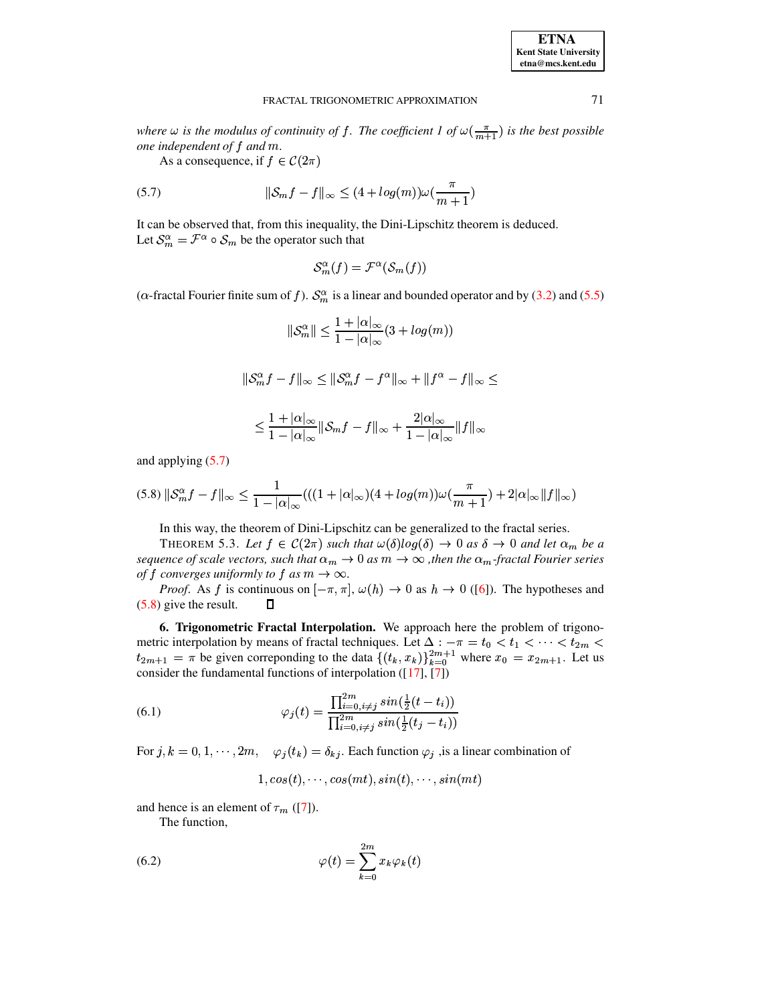| <b>ETNA</b>           |
|-----------------------|
| Kent State University |
| etna@mcs.kent.edu     |

where  $\omega$  is the modulus of continuity of f. The coefficient 1 of  $\omega(\frac{\pi}{m+1})$  is the best possible one independent of  $f$  and  $m$ .

<span id="page-7-0"></span>As a consequence, if  $f \in \mathcal{C}(2\pi)$ 

(5.7) 
$$
\|\mathcal{S}_m f - f\|_{\infty} \le (4 + \log(m))\omega(\frac{\pi}{m+1})
$$

It can be observed that, from this inequality, the Dini-Lipschitz theorem is deduced. Let  $S_m^{\alpha} = \mathcal{F}^{\alpha} \circ S_m$  be the operator such that

$$
\mathcal{S}_m^{\alpha}(f) = \mathcal{F}^{\alpha}(\mathcal{S}_m(f))
$$

( $\alpha$ -fractal Fourier finite sum of f).  $S_m^{\alpha}$  is a linear and bounded operator and by (3.2) and (5.5)

$$
\|\mathcal{S}_m^\alpha\| \le \frac{1+|\alpha|_\infty}{1-|\alpha|_\infty}(3+log(m))
$$

$$
\|\mathcal{S}_m^\alpha f - f\|_\infty \le \|\mathcal{S}_m^\alpha f - f^\alpha\|_\infty + \|f^\alpha - f\|_\infty \le
$$

$$
\leq \frac{1+|\alpha|_\infty}{1-|\alpha|_\infty} \|\mathcal{S}_m f - f\|_\infty + \frac{2|\alpha|_\infty}{1-|\alpha|_\infty} \|f\|_\infty
$$

and applying  $(5.7)$ 

<span id="page-7-1"></span>
$$
(5.8)\ \|\mathcal{S}_m^{\alpha} f - f\|_{\infty} \le \frac{1}{1 - |\alpha|_{\infty}}(((1 + |\alpha|_{\infty})(4 + \log(m))\omega(\frac{\pi}{m+1}) + 2|\alpha|_{\infty})\|f\|_{\infty})
$$

In this way, the theorem of Dini-Lipschitz can be generalized to the fractal series.

THEOREM 5.3. Let  $f \in C(2\pi)$  such that  $\omega(\delta) \log(\delta) \to 0$  as  $\delta \to 0$  and let  $\alpha_m$  be a sequence of scale vectors, such that  $\alpha_m \to 0$  as  $m \to \infty$ , then the  $\alpha_m$ -fractal Fourier series of f converges uniformly to f as  $m \to \infty$ .

*Proof.* As f is continuous on  $[-\pi, \pi]$ ,  $\omega(h) \to 0$  as  $h \to 0$  ([6]). The hypotheses and  $(5.8)$  give the result. П

6. Trigonometric Fractal Interpolation. We approach here the problem of trigonometric interpolation by means of fractal techniques. Let  $\Delta : -\pi = t_0 < t_1 < \cdots < t_{2m} < t_{2m+1} = \pi$  be given correponding to the data  $\{(t_k, x_k)\}_{k=0}^{2m+1}$  where  $x_0 = x_{2m+1}$ . Let us consider the fundamental functions of interpolation  $([17], [7])$ 

(6.1) 
$$
\varphi_j(t) = \frac{\prod_{i=0, i \neq j}^{2m} sin(\frac{1}{2}(t - t_i))}{\prod_{i=0, i \neq j}^{2m} sin(\frac{1}{2}(t_j - t_i))}
$$

For  $j, k = 0, 1, \dots, 2m$ ,  $\varphi_j(t_k) = \delta_{kj}$ . Each function  $\varphi_j$ , is a linear combination of

$$
1, cos(t), \cdots, cos(mt), sin(t), \cdots, sin(mt)
$$

and hence is an element of  $\tau_m$  ([7]).

<span id="page-7-2"></span>The function,

(6.2) 
$$
\varphi(t) = \sum_{k=0}^{2m} x_k \varphi_k(t)
$$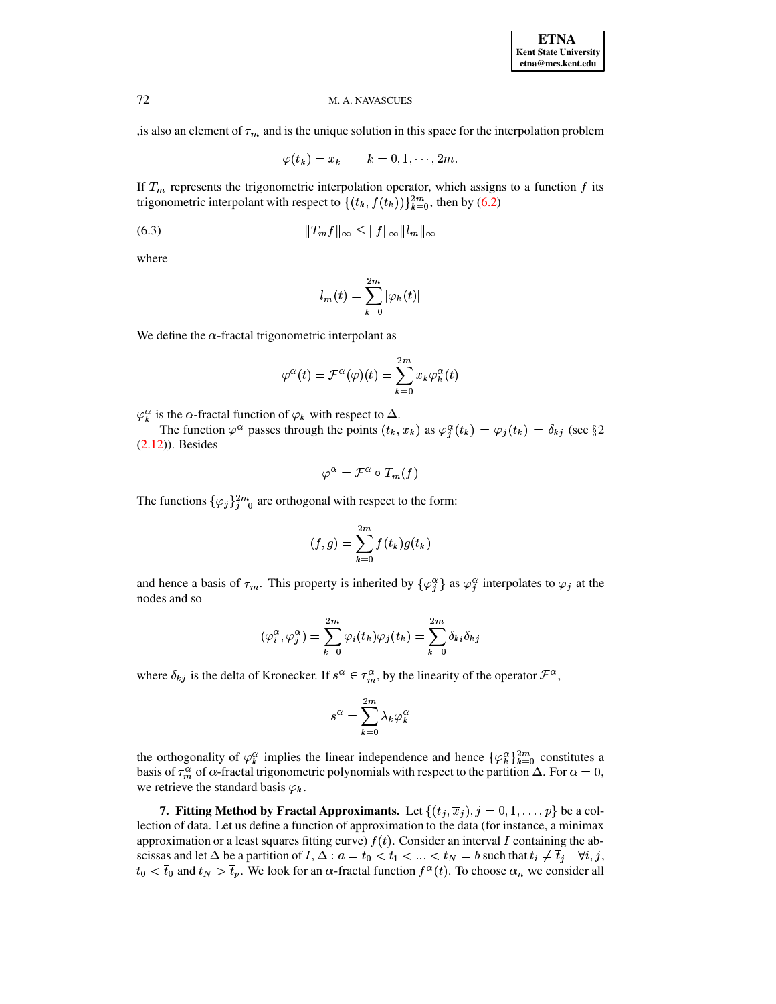, is also an element of  $\tau_m$  and is the unique solution in this space for the interpolation problem

$$
\varphi(t_k) = x_k \qquad k = 0, 1, \cdots, 2m.
$$

If  $T_m$  represents the trigonometric interpolation operator, which assigns to a function f its trigonometric interpolant with respect to  $\{(t_k, f(t_k))\}_{k=0}^{2m}$ , then by (6.2)

$$
||T_m f||_{\infty} \le ||f||_{\infty} ||l_m||_{\infty}
$$

where

$$
l_m(t) = \sum_{k=0}^{2m} |\varphi_k(t)|
$$

We define the  $\alpha$ -fractal trigonometric interpolant as

$$
\varphi^{\alpha}(t) = \mathcal{F}^{\alpha}(\varphi)(t) = \sum_{k=0}^{2m} x_k \varphi_k^{\alpha}(t)
$$

 $\varphi_k^{\alpha}$  is the  $\alpha$ -fractal function of  $\varphi_k$  with respect to  $\Delta$ .

The function  $\varphi^{\alpha}$  passes through the points  $(t_k, x_k)$  as  $\varphi_i^{\alpha}(t_k) = \varphi_j(t_k) = \delta_{kj}$  (see §2  $(2.12)$ ). Besides

$$
\varphi^{\alpha} = \mathcal{F}^{\alpha} \circ T_m(f)
$$

The functions  $\{\varphi_j\}_{j=0}^{2m}$  are orthogonal with respect to the form:

$$
(f,g) = \sum_{k=0}^{2m} f(t_k)g(t_k)
$$

and hence a basis of  $\tau_m$ . This property is inherited by  $\{\varphi_i^{\alpha}\}\$ as  $\varphi_i^{\alpha}$  interpolates to  $\varphi_j$  at the nodes and so

$$
(\varphi_i^{\alpha}, \varphi_j^{\alpha}) = \sum_{k=0}^{2m} \varphi_i(t_k) \varphi_j(t_k) = \sum_{k=0}^{2m} \delta_{ki} \delta_{kj}
$$

where  $\delta_{kj}$  is the delta of Kronecker. If  $s^{\alpha} \in \tau_m^{\alpha}$ , by the linearity of the operator  $\mathcal{F}^{\alpha}$ ,

$$
s^\alpha = \sum_{k=0}^{2m} \lambda_k \varphi_k^\alpha
$$

the orthogonality of  $\varphi_k^{\alpha}$  implies the linear independence and hence  $\{\varphi_k^{\alpha}\}_{k=0}^{2m}$  constitutes a basis of  $\tau_m^{\alpha}$  of  $\alpha$ -fractal trigonometric polynomials with respect to the partition  $\Delta$ . For  $\alpha = 0$ , we retrieve the standard basis  $\varphi_k$ .

7. Fitting Method by Fractal Approximants. Let  $\{(\bar{t}_j, \bar{x}_j), j = 0, 1, \ldots, p\}$  be a collection of data. Let us define a function of approximation to the data (for instance, a minimax approximation or a least squares fitting curve)  $f(t)$ . Consider an interval I containing the abscissas and let  $\Delta$  be a partition of  $I, \Delta : a = t_0 < t_1 < ... < t_N = b$  such that  $t_i \neq \overline{t}_j \quad \forall i, j$ ,  $t_0 < \overline{t}_0$  and  $t_N > \overline{t}_p$ . We look for an  $\alpha$ -fractal function  $f^{\alpha}(t)$ . To choose  $\alpha_n$  we consider all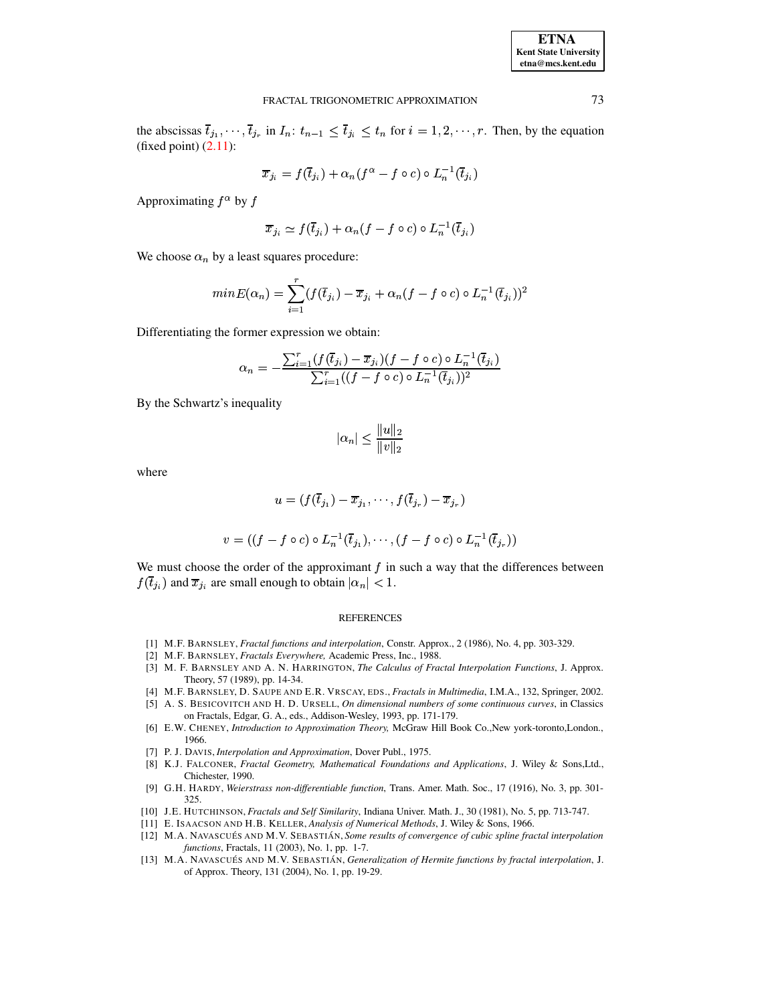the abscissas  $\overline{t}_{j_1}, \dots, \overline{t}_{j_r}$  in  $I_n: t_{n-1} \leq \overline{t}_{j_i} \leq t_n$  for  $i = 1, 2, \dots, r$ . Then, by the equation (fixed point)  $(2.11)$ :

$$
\overline{x}_{j_i} = f(\overline{t}_{j_i}) + \alpha_n (f^{\alpha} - f \circ c) \circ L_n^{-1}(\overline{t}_{j_i})
$$

Approximating  $f^{\alpha}$  by f

$$
\overline{x}_{j_i} \simeq f(\overline{t}_{j_i}) + \alpha_n (f - f \circ c) \circ L_n^{-1}(\overline{t}_{j_i})
$$

We choose  $\alpha_n$  by a least squares procedure:

$$
minE(\alpha_n) = \sum_{i=1}^r (f(\bar{t}_{j_i}) - \bar{x}_{j_i} + \alpha_n(f - f \circ c) \circ L_n^{-1}(\bar{t}_{j_i}))^2
$$

Differentiating the former expression we obtain:

$$
\alpha_n = -\frac{\sum_{i=1}^r (f(\bar{t}_{j_i}) - \bar{x}_{j_i})(f - f \circ c) \circ L_n^{-1}(\bar{t}_{j_i})}{\sum_{i=1}^r ((f - f \circ c) \circ L_n^{-1}(\bar{t}_{j_i}))^2}
$$

By the Schwartz's inequality

$$
|\alpha_n| \le \frac{\|u\|_2}{\|v\|_2}
$$

where

$$
u = (f(\overline{t}_{j_1}) - \overline{x}_{j_1}, \dots, f(\overline{t}_{j_r}) - \overline{x}_{j_r})
$$
  

$$
v = ((f - f \circ c) \circ L_n^{-1}(\overline{t}_{j_1}), \dots, (f - f \circ c) \circ L_n^{-1}(\overline{t}_{j_r}))
$$

We must choose the order of the approximant  $f$  in such a way that the differences between  $f(\overline{t}_{j_i})$  and  $\overline{x}_{j_i}$  are small enough to obtain  $|\alpha_n| < 1$ .

#### **REFERENCES**

- <span id="page-9-1"></span><span id="page-9-0"></span>[1] M.F. BARNSLEY, Fractal functions and interpolation, Constr. Approx., 2 (1986), No. 4, pp. 303-329.
- <span id="page-9-2"></span>[2] M.F. BARNSLEY, Fractals Everywhere, Academic Press, Inc., 1988.
- [3] M. F. BARNSLEY AND A. N. HARRINGTON, The Calculus of Fractal Interpolation Functions, J. Approx. Theory, 57 (1989), pp. 14-34.
- <span id="page-9-8"></span><span id="page-9-3"></span>[4] M.F. BARNSLEY, D. SAUPE AND E.R. VRSCAY, EDS., Fractals in Multimedia, I.M.A., 132, Springer, 2002.
- [5] A. S. BESICOVITCH AND H. D. URSELL, On dimensional numbers of some continuous curves, in Classics on Fractals, Edgar, G. A., eds., Addison-Wesley, 1993, pp. 171-179.
- <span id="page-9-12"></span>[6] E.W. CHENEY, Introduction to Approximation Theory, McGraw Hill Book Co., New york-toronto, London., 1966.
- <span id="page-9-10"></span><span id="page-9-5"></span>[7] P. J. DAVIS, Interpolation and Approximation, Dover Publ., 1975.
- [8] K.J. FALCONER, Fractal Geometry, Mathematical Foundations and Applications, J. Wiley & Sons,Ltd., Chichester, 1990.
- <span id="page-9-9"></span>[9] G.H. HARDY, Weierstrass non-differentiable function, Trans. Amer. Math. Soc., 17 (1916), No. 3, pp. 301-325.
- <span id="page-9-11"></span><span id="page-9-4"></span>[10] J.E. HUTCHINSON, Fractals and Self Similarity, Indiana Univer. Math. J., 30 (1981), No. 5, pp. 713-747.
- <span id="page-9-6"></span>[11] E. ISAACSON AND H.B. KELLER, Analysis of Numerical Methods, J. Wiley & Sons, 1966.
- [12] M.A. NAVASCUÉS AND M.V. SEBASTIÁN, Some results of convergence of cubic spline fractal interpolation functions, Fractals, 11 (2003), No. 1, pp. 1-7.
- <span id="page-9-7"></span>[13] M.A. NAVASCUÉS AND M.V. SEBASTIÁN, Generalization of Hermite functions by fractal interpolation, J. of Approx. Theory, 131 (2004), No. 1, pp. 19-29.